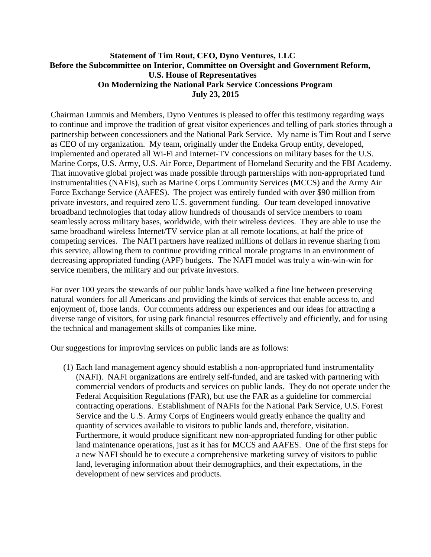## **Statement of Tim Rout, CEO, Dyno Ventures, LLC Before the Subcommittee on Interior, Committee on Oversight and Government Reform, U.S. House of Representatives On Modernizing the National Park Service Concessions Program July 23, 2015**

Chairman Lummis and Members, Dyno Ventures is pleased to offer this testimony regarding ways to continue and improve the tradition of great visitor experiences and telling of park stories through a partnership between concessioners and the National Park Service. My name is Tim Rout and I serve as CEO of my organization. My team, originally under the Endeka Group entity, developed, implemented and operated all Wi-Fi and Internet-TV concessions on military bases for the U.S. Marine Corps, U.S. Army, U.S. Air Force, Department of Homeland Security and the FBI Academy. That innovative global project was made possible through partnerships with non-appropriated fund instrumentalities (NAFIs), such as Marine Corps Community Services (MCCS) and the Army Air Force Exchange Service (AAFES). The project was entirely funded with over \$90 million from private investors, and required zero U.S. government funding. Our team developed innovative broadband technologies that today allow hundreds of thousands of service members to roam seamlessly across military bases, worldwide, with their wireless devices. They are able to use the same broadband wireless Internet/TV service plan at all remote locations, at half the price of competing services. The NAFI partners have realized millions of dollars in revenue sharing from this service, allowing them to continue providing critical morale programs in an environment of decreasing appropriated funding (APF) budgets. The NAFI model was truly a win-win-win for service members, the military and our private investors.

For over 100 years the stewards of our public lands have walked a fine line between preserving natural wonders for all Americans and providing the kinds of services that enable access to, and enjoyment of, those lands. Our comments address our experiences and our ideas for attracting a diverse range of visitors, for using park financial resources effectively and efficiently, and for using the technical and management skills of companies like mine.

Our suggestions for improving services on public lands are as follows:

(1) Each land management agency should establish a non-appropriated fund instrumentality (NAFI). NAFI organizations are entirely self-funded, and are tasked with partnering with commercial vendors of products and services on public lands. They do not operate under the Federal Acquisition Regulations (FAR), but use the FAR as a guideline for commercial contracting operations. Establishment of NAFIs for the National Park Service, U.S. Forest Service and the U.S. Army Corps of Engineers would greatly enhance the quality and quantity of services available to visitors to public lands and, therefore, visitation. Furthermore, it would produce significant new non-appropriated funding for other public land maintenance operations, just as it has for MCCS and AAFES. One of the first steps for a new NAFI should be to execute a comprehensive marketing survey of visitors to public land, leveraging information about their demographics, and their expectations, in the development of new services and products.